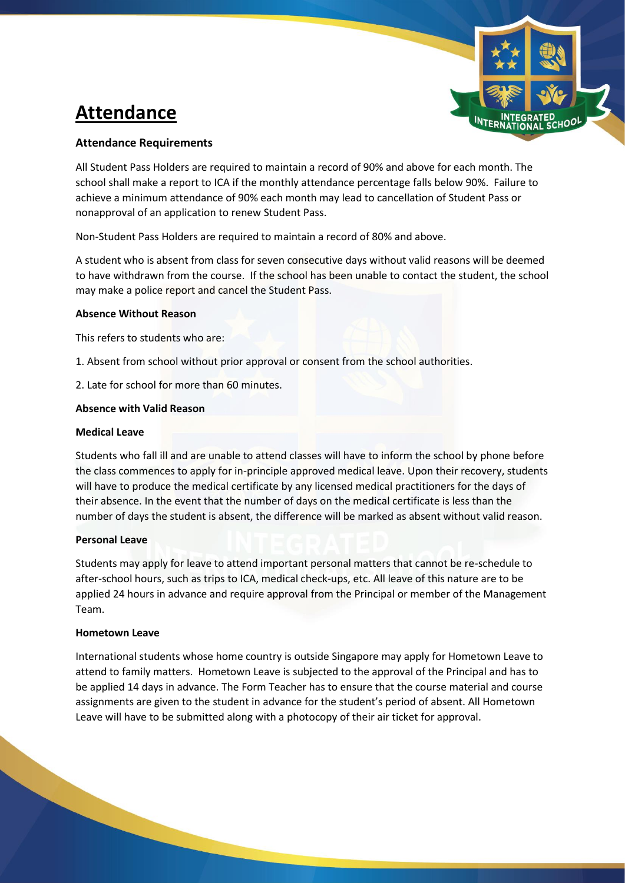# **Attendance**



# **Attendance Requirements**

All Student Pass Holders are required to maintain a record of 90% and above for each month. The school shall make a report to ICA if the monthly attendance percentage falls below 90%. Failure to achieve a minimum attendance of 90% each month may lead to cancellation of Student Pass or nonapproval of an application to renew Student Pass.

Non-Student Pass Holders are required to maintain a record of 80% and above.

A student who is absent from class for seven consecutive days without valid reasons will be deemed to have withdrawn from the course. If the school has been unable to contact the student, the school may make a police report and cancel the Student Pass.

## **Absence Without Reason**

This refers to students who are:

- 1. Absent from school without prior approval or consent from the school authorities.
- 2. Late for school for more than 60 minutes.

#### **Absence with Valid Reason**

#### **Medical Leave**

Students who fall ill and are unable to attend classes will have to inform the school by phone before the class commences to apply for in-principle approved medical leave. Upon their recovery, students will have to produce the medical certificate by any licensed medical practitioners for the days of their absence. In the event that the number of days on the medical certificate is less than the number of days the student is absent, the difference will be marked as absent without valid reason.

## **Personal Leave**

Students may apply for leave to attend important personal matters that cannot be re-schedule to after-school hours, such as trips to ICA, medical check-ups, etc. All leave of this nature are to be applied 24 hours in advance and require approval from the Principal or member of the Management Team.

## **Hometown Leave**

International students whose home country is outside Singapore may apply for Hometown Leave to attend to family matters. Hometown Leave is subjected to the approval of the Principal and has to be applied 14 days in advance. The Form Teacher has to ensure that the course material and course assignments are given to the student in advance for the student's period of absent. All Hometown Leave will have to be submitted along with a photocopy of their air ticket for approval.